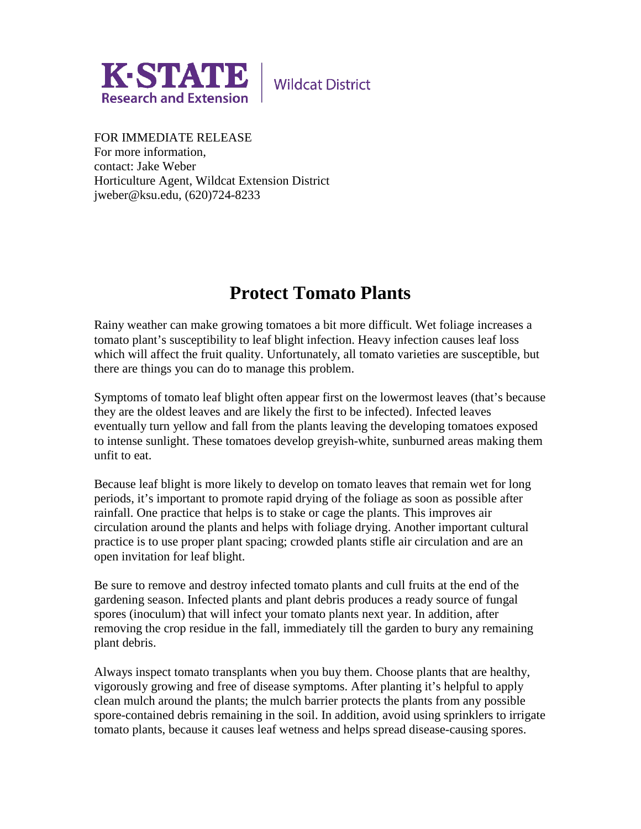

**Wildcat District** 

FOR IMMEDIATE RELEASE For more information, contact: Jake Weber Horticulture Agent, Wildcat Extension District jweber@ksu.edu, (620)724-8233

## **Protect Tomato Plants**

Rainy weather can make growing tomatoes a bit more difficult. Wet foliage increases a tomato plant's susceptibility to leaf blight infection. Heavy infection causes leaf loss which will affect the fruit quality. Unfortunately, all tomato varieties are susceptible, but there are things you can do to manage this problem.

Symptoms of tomato leaf blight often appear first on the lowermost leaves (that's because they are the oldest leaves and are likely the first to be infected). Infected leaves eventually turn yellow and fall from the plants leaving the developing tomatoes exposed to intense sunlight. These tomatoes develop greyish-white, sunburned areas making them unfit to eat.

Because leaf blight is more likely to develop on tomato leaves that remain wet for long periods, it's important to promote rapid drying of the foliage as soon as possible after rainfall. One practice that helps is to stake or cage the plants. This improves air circulation around the plants and helps with foliage drying. Another important cultural practice is to use proper plant spacing; crowded plants stifle air circulation and are an open invitation for leaf blight.

Be sure to remove and destroy infected tomato plants and cull fruits at the end of the gardening season. Infected plants and plant debris produces a ready source of fungal spores (inoculum) that will infect your tomato plants next year. In addition, after removing the crop residue in the fall, immediately till the garden to bury any remaining plant debris.

Always inspect tomato transplants when you buy them. Choose plants that are healthy, vigorously growing and free of disease symptoms. After planting it's helpful to apply clean mulch around the plants; the mulch barrier protects the plants from any possible spore-contained debris remaining in the soil. In addition, avoid using sprinklers to irrigate tomato plants, because it causes leaf wetness and helps spread disease-causing spores.